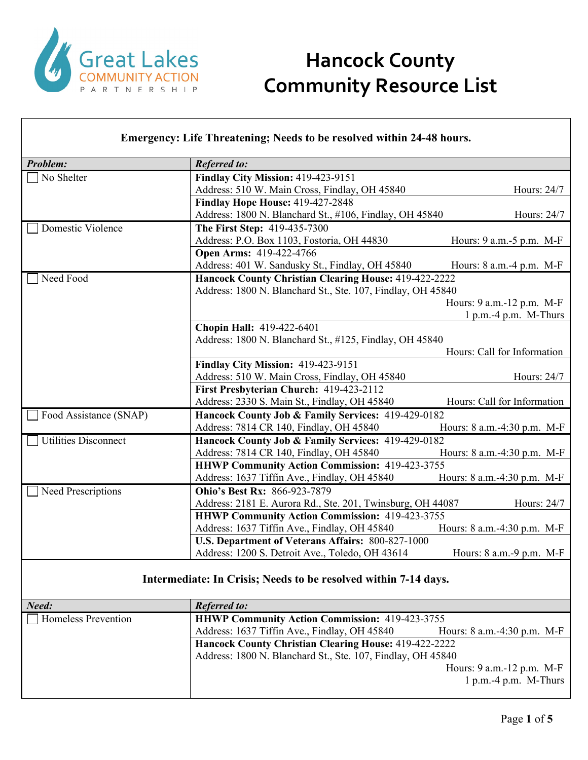

| Emergency: Life Threatening; Needs to be resolved within 24-48 hours. |                                                                 |                             |
|-----------------------------------------------------------------------|-----------------------------------------------------------------|-----------------------------|
| <b>Problem:</b>                                                       | <b>Referred to:</b>                                             |                             |
| No Shelter                                                            | Findlay City Mission: 419-423-9151                              |                             |
|                                                                       | Address: 510 W. Main Cross, Findlay, OH 45840                   | Hours: 24/7                 |
|                                                                       | <b>Findlay Hope House: 419-427-2848</b>                         |                             |
|                                                                       | Address: 1800 N. Blanchard St., #106, Findlay, OH 45840         | Hours: 24/7                 |
| Domestic Violence                                                     | The First Step: 419-435-7300                                    |                             |
|                                                                       | Address: P.O. Box 1103, Fostoria, OH 44830                      | Hours: 9 a.m. -5 p.m. M-F   |
|                                                                       | Open Arms: 419-422-4766                                         |                             |
|                                                                       | Address: 401 W. Sandusky St., Findlay, OH 45840                 | Hours: 8 a.m.-4 p.m. M-F    |
| Need Food                                                             | Hancock County Christian Clearing House: 419-422-2222           |                             |
|                                                                       | Address: 1800 N. Blanchard St., Ste. 107, Findlay, OH 45840     |                             |
|                                                                       |                                                                 | Hours: 9 a.m.-12 p.m. M-F   |
|                                                                       |                                                                 | 1 p.m.-4 p.m. M-Thurs       |
|                                                                       | Chopin Hall: 419-422-6401                                       |                             |
|                                                                       | Address: 1800 N. Blanchard St., #125, Findlay, OH 45840         |                             |
|                                                                       |                                                                 | Hours: Call for Information |
|                                                                       | Findlay City Mission: 419-423-9151                              |                             |
|                                                                       | Address: 510 W. Main Cross, Findlay, OH 45840                   | Hours: 24/7                 |
|                                                                       | First Presbyterian Church: 419-423-2112                         |                             |
|                                                                       | Address: 2330 S. Main St., Findlay, OH 45840                    | Hours: Call for Information |
| Food Assistance (SNAP)                                                | Hancock County Job & Family Services: 419-429-0182              |                             |
|                                                                       | Address: 7814 CR 140, Findlay, OH 45840                         | Hours: 8 a.m.-4:30 p.m. M-F |
| <b>Utilities Disconnect</b>                                           | Hancock County Job & Family Services: 419-429-0182              |                             |
|                                                                       | Address: 7814 CR 140, Findlay, OH 45840                         | Hours: 8 a.m.-4:30 p.m. M-F |
|                                                                       | <b>HHWP Community Action Commission: 419-423-3755</b>           |                             |
|                                                                       | Address: 1637 Tiffin Ave., Findlay, OH 45840                    | Hours: 8 a.m.-4:30 p.m. M-F |
| Need Prescriptions                                                    | Ohio's Best Rx: 866-923-7879                                    |                             |
|                                                                       | Address: 2181 E. Aurora Rd., Ste. 201, Twinsburg, OH 44087      | Hours: 24/7                 |
|                                                                       | HHWP Community Action Commission: 419-423-3755                  |                             |
|                                                                       | Address: 1637 Tiffin Ave., Findlay, OH 45840                    | Hours: 8 a.m.-4:30 p.m. M-F |
|                                                                       | U.S. Department of Veterans Affairs: 800-827-1000               |                             |
|                                                                       | Address: 1200 S. Detroit Ave., Toledo, OH 43614                 | Hours: 8 a.m.-9 p.m. M-F    |
|                                                                       | Intermediate: In Crisis; Needs to be resolved within 7-14 days. |                             |

| Need:                      | <b>Referred to:</b>                                         |                             |
|----------------------------|-------------------------------------------------------------|-----------------------------|
| <b>Homeless Prevention</b> | <b>HHWP Community Action Commission: 419-423-3755</b>       |                             |
|                            | Address: 1637 Tiffin Ave., Findlay, OH 45840                | Hours: 8 a.m.-4:30 p.m. M-F |
|                            | Hancock County Christian Clearing House: 419-422-2222       |                             |
|                            | Address: 1800 N. Blanchard St., Ste. 107, Findlay, OH 45840 |                             |
|                            |                                                             | Hours: $9$ a.m.-12 p.m. M-F |
|                            |                                                             | $1 p.m.-4 p.m.$ M-Thurs     |
|                            |                                                             |                             |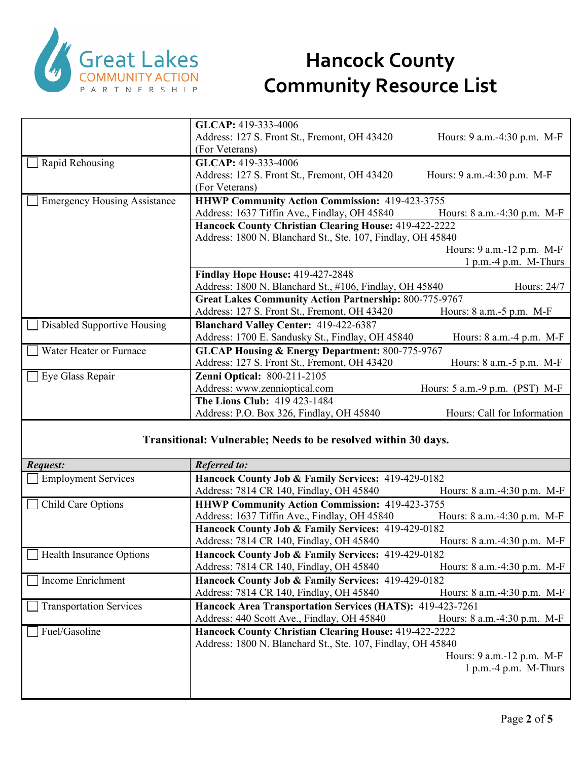

|                                     | GLCAP: 419-333-4006                                           |                                  |
|-------------------------------------|---------------------------------------------------------------|----------------------------------|
|                                     | Address: 127 S. Front St., Fremont, OH 43420                  | Hours: 9 a.m.-4:30 p.m. M-F      |
|                                     | (For Veterans)                                                |                                  |
| Rapid Rehousing                     | GLCAP: 419-333-4006                                           |                                  |
|                                     | Address: 127 S. Front St., Fremont, OH 43420                  | Hours: 9 a.m.-4:30 p.m. M-F      |
|                                     | (For Veterans)                                                |                                  |
| <b>Emergency Housing Assistance</b> | <b>HHWP Community Action Commission: 419-423-3755</b>         |                                  |
|                                     | Address: 1637 Tiffin Ave., Findlay, OH 45840                  | Hours: $8$ a.m. $-4:30$ p.m. M-F |
|                                     | <b>Hancock County Christian Clearing House: 419-422-2222</b>  |                                  |
|                                     | Address: 1800 N. Blanchard St., Ste. 107, Findlay, OH 45840   |                                  |
|                                     |                                                               | Hours: 9 a.m.-12 p.m. M-F        |
|                                     |                                                               | $1 p.m.-4 p.m.$ M-Thurs          |
|                                     | Findlay Hope House: 419-427-2848                              |                                  |
|                                     | Address: 1800 N. Blanchard St., #106, Findlay, OH 45840       | Hours: 24/7                      |
|                                     | <b>Great Lakes Community Action Partnership: 800-775-9767</b> |                                  |
|                                     | Address: 127 S. Front St., Fremont, OH 43420                  | Hours: 8 a.m.-5 p.m. M-F         |
| Disabled Supportive Housing         | Blanchard Valley Center: 419-422-6387                         |                                  |
|                                     | Address: 1700 E. Sandusky St., Findlay, OH 45840              | Hours: $8$ a.m. $-4$ p.m. M-F    |
| Water Heater or Furnace             | <b>GLCAP Housing &amp; Energy Department: 800-775-9767</b>    |                                  |
|                                     | Address: 127 S. Front St., Fremont, OH 43420                  | Hours: $8$ a.m. $-5$ p.m. M-F    |
| Eye Glass Repair                    | <b>Zenni Optical: 800-211-2105</b>                            |                                  |
|                                     | Address: www.zennioptical.com                                 | Hours: 5 a.m.-9 p.m. (PST) M-F   |
|                                     | The Lions Club: 419 423-1484                                  |                                  |
|                                     | Address: P.O. Box 326, Findlay, OH 45840                      | Hours: Call for Information      |

#### **Transitional: Vulnerable; Needs to be resolved within 30 days.**

| <i>Request:</i>                | <b>Referred to:</b>                                         |                                  |
|--------------------------------|-------------------------------------------------------------|----------------------------------|
| <b>Employment Services</b>     | Hancock County Job & Family Services: 419-429-0182          |                                  |
|                                | Address: 7814 CR 140, Findlay, OH 45840                     | Hours: $8$ a.m. $-4:30$ p.m. M-F |
| Child Care Options             | <b>HHWP Community Action Commission: 419-423-3755</b>       |                                  |
|                                | Address: 1637 Tiffin Ave., Findlay, OH 45840                | Hours: $8$ a.m. $-4:30$ p.m. M-F |
|                                | Hancock County Job & Family Services: 419-429-0182          |                                  |
|                                | Address: 7814 CR 140, Findlay, OH 45840                     | Hours: $8$ a.m. $-4:30$ p.m. M-F |
| Health Insurance Options       | Hancock County Job & Family Services: 419-429-0182          |                                  |
|                                | Address: 7814 CR 140, Findlay, OH 45840                     | Hours: $8$ a.m. $-4:30$ p.m. M-F |
| Income Enrichment              | Hancock County Job & Family Services: 419-429-0182          |                                  |
|                                |                                                             |                                  |
|                                | Address: 7814 CR 140, Findlay, OH 45840                     | Hours: $8$ a.m. $-4:30$ p.m. M-F |
| <b>Transportation Services</b> | Hancock Area Transportation Services (HATS): 419-423-7261   |                                  |
|                                | Address: 440 Scott Ave., Findlay, OH 45840                  | Hours: 8 a.m.-4:30 p.m. M-F      |
| Fuel/Gasoline                  | Hancock County Christian Clearing House: 419-422-2222       |                                  |
|                                | Address: 1800 N. Blanchard St., Ste. 107, Findlay, OH 45840 |                                  |
|                                |                                                             | Hours: $9$ a.m.-12 p.m. M-F      |
|                                |                                                             | $1 p.m.-4 p.m. M-Thurs$          |
|                                |                                                             |                                  |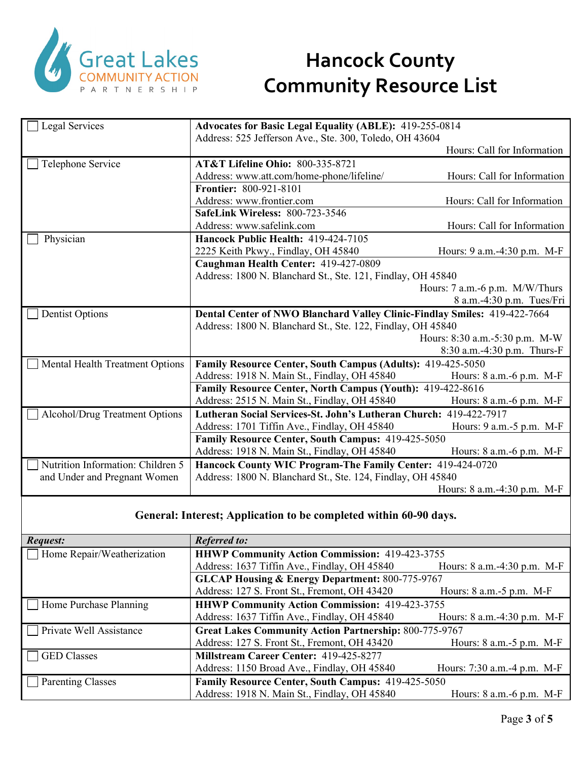

| Legal Services                         | <b>Advocates for Basic Legal Equality (ABLE): 419-255-0814</b>            |                                |
|----------------------------------------|---------------------------------------------------------------------------|--------------------------------|
|                                        | Address: 525 Jefferson Ave., Ste. 300, Toledo, OH 43604                   |                                |
|                                        |                                                                           | Hours: Call for Information    |
| Telephone Service                      | <b>AT&amp;T Lifeline Ohio: 800-335-8721</b>                               |                                |
|                                        | Address: www.att.com/home-phone/lifeline/                                 | Hours: Call for Information    |
|                                        | Frontier: 800-921-8101                                                    |                                |
|                                        | Address: www.frontier.com                                                 | Hours: Call for Information    |
|                                        | <b>SafeLink Wireless: 800-723-3546</b>                                    |                                |
|                                        | Address: www.safelink.com                                                 | Hours: Call for Information    |
| Physician                              | Hancock Public Health: 419-424-7105                                       |                                |
|                                        | 2225 Keith Pkwy., Findlay, OH 45840                                       | Hours: 9 a.m. -4:30 p.m. M-F   |
|                                        | Caughman Health Center: 419-427-0809                                      |                                |
|                                        | Address: 1800 N. Blanchard St., Ste. 121, Findlay, OH 45840               |                                |
|                                        |                                                                           | Hours: 7 a.m.-6 p.m. M/W/Thurs |
|                                        |                                                                           | 8 a.m.-4:30 p.m. Tues/Fri      |
| <b>Dentist Options</b>                 | Dental Center of NWO Blanchard Valley Clinic-Findlay Smiles: 419-422-7664 |                                |
|                                        | Address: 1800 N. Blanchard St., Ste. 122, Findlay, OH 45840               |                                |
|                                        |                                                                           | Hours: 8:30 a.m.-5:30 p.m. M-W |
|                                        |                                                                           | 8:30 a.m.-4:30 p.m. Thurs-F    |
| <b>Mental Health Treatment Options</b> | Family Resource Center, South Campus (Adults): 419-425-5050               |                                |
|                                        | Address: 1918 N. Main St., Findlay, OH 45840                              | Hours: $8$ a.m. $-6$ p.m. M-F  |
|                                        | Family Resource Center, North Campus (Youth): 419-422-8616                |                                |
|                                        | Address: 2515 N. Main St., Findlay, OH 45840                              | Hours: 8 a.m.-6 p.m. M-F       |
| <b>Alcohol/Drug Treatment Options</b>  | Lutheran Social Services-St. John's Lutheran Church: 419-422-7917         |                                |
|                                        | Address: 1701 Tiffin Ave., Findlay, OH 45840                              | Hours: 9 a.m. -5 p.m. M-F      |
|                                        | Family Resource Center, South Campus: 419-425-5050                        |                                |
|                                        | Address: 1918 N. Main St., Findlay, OH 45840                              | Hours: 8 a.m.-6 p.m. M-F       |
| Nutrition Information: Children 5      | Hancock County WIC Program-The Family Center: 419-424-0720                |                                |
| and Under and Pregnant Women           | Address: 1800 N. Blanchard St., Ste. 124, Findlay, OH 45840               |                                |
|                                        |                                                                           | Hours: 8 a.m.-4:30 p.m. M-F    |

#### **General: Interest; Application to be completed within 60-90 days.**

| <i>Request:</i>            | <b>Referred to:</b>                                           |                               |
|----------------------------|---------------------------------------------------------------|-------------------------------|
| Home Repair/Weatherization | <b>HHWP Community Action Commission: 419-423-3755</b>         |                               |
|                            | Address: 1637 Tiffin Ave., Findlay, OH 45840                  | Hours: 8 a.m.-4:30 p.m. M-F   |
|                            | <b>GLCAP Housing &amp; Energy Department: 800-775-9767</b>    |                               |
|                            | Address: 127 S. Front St., Fremont, OH 43420                  | Hours: $8$ a.m. $-5$ p.m. M-F |
| Home Purchase Planning     | <b>HHWP Community Action Commission: 419-423-3755</b>         |                               |
|                            | Address: 1637 Tiffin Ave., Findlay, OH 45840                  | Hours: 8 a.m.-4:30 p.m. M-F   |
| Private Well Assistance    | <b>Great Lakes Community Action Partnership: 800-775-9767</b> |                               |
|                            | Address: 127 S. Front St., Fremont, OH 43420                  | Hours: 8 a.m. - 5 p.m. M-F    |
| <b>GED</b> Classes         | Millstream Career Center: 419-425-8277                        |                               |
|                            | Address: 1150 Broad Ave., Findlay, OH 45840                   | Hours: 7:30 a.m. -4 p.m. M-F  |
| <b>Parenting Classes</b>   | Family Resource Center, South Campus: 419-425-5050            |                               |
|                            | Address: 1918 N. Main St., Findlay, OH 45840                  | Hours: 8 a.m.-6 p.m. M-F      |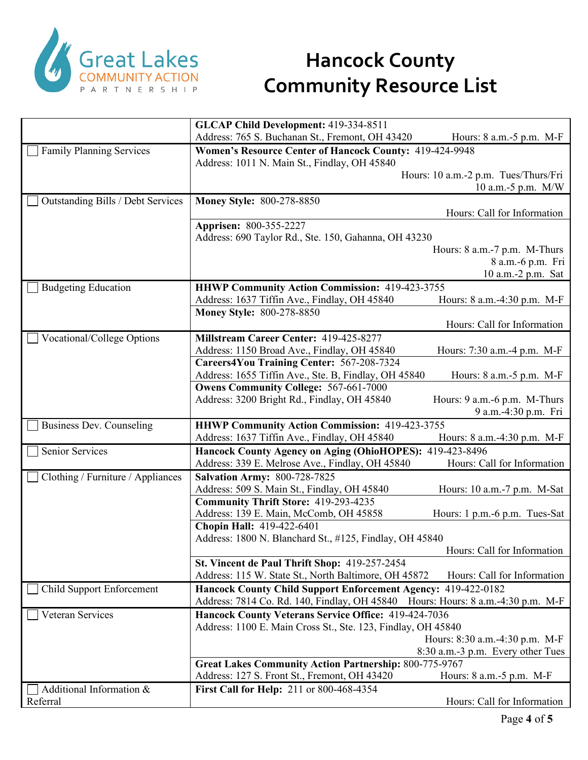

|                                   | GLCAP Child Development: 419-334-8511                                                                   |                                      |
|-----------------------------------|---------------------------------------------------------------------------------------------------------|--------------------------------------|
|                                   | Address: 765 S. Buchanan St., Fremont, OH 43420                                                         | Hours: 8 a.m. - 5 p.m. M-F           |
| <b>Family Planning Services</b>   | Women's Resource Center of Hancock County: 419-424-9948<br>Address: 1011 N. Main St., Findlay, OH 45840 |                                      |
|                                   |                                                                                                         | Hours: 10 a.m.-2 p.m. Tues/Thurs/Fri |
|                                   |                                                                                                         | 10 a.m.-5 p.m. $M/W$                 |
| Outstanding Bills / Debt Services | <b>Money Style: 800-278-8850</b>                                                                        |                                      |
|                                   |                                                                                                         | Hours: Call for Information          |
|                                   | Apprisen: 800-355-2227                                                                                  |                                      |
|                                   | Address: 690 Taylor Rd., Ste. 150, Gahanna, OH 43230                                                    |                                      |
|                                   |                                                                                                         | Hours: 8 a.m.-7 p.m. M-Thurs         |
|                                   |                                                                                                         | 8 a.m.-6 p.m. Fri                    |
|                                   |                                                                                                         | 10 a.m.-2 p.m. Sat                   |
| <b>Budgeting Education</b>        | <b>HHWP Community Action Commission: 419-423-3755</b>                                                   |                                      |
|                                   | Address: 1637 Tiffin Ave., Findlay, OH 45840<br><b>Money Style: 800-278-8850</b>                        | Hours: 8 a.m.-4:30 p.m. M-F          |
|                                   |                                                                                                         | Hours: Call for Information          |
| Vocational/College Options        | Millstream Career Center: 419-425-8277                                                                  |                                      |
|                                   | Address: 1150 Broad Ave., Findlay, OH 45840                                                             | Hours: 7:30 a.m.-4 p.m. M-F          |
|                                   | Careers4You Training Center: 567-208-7324                                                               |                                      |
|                                   | Address: 1655 Tiffin Ave., Ste. B, Findlay, OH 45840                                                    | Hours: 8 a.m. - 5 p.m. M-F           |
|                                   | <b>Owens Community College: 567-661-7000</b>                                                            |                                      |
|                                   | Address: 3200 Bright Rd., Findlay, OH 45840                                                             | Hours: 9 a.m.-6 p.m. M-Thurs         |
|                                   |                                                                                                         | 9 a.m.-4:30 p.m. Fri                 |
|                                   |                                                                                                         |                                      |
| Business Dev. Counseling          | <b>HHWP Community Action Commission: 419-423-3755</b>                                                   |                                      |
|                                   | Address: 1637 Tiffin Ave., Findlay, OH 45840                                                            | Hours: 8 a.m.-4:30 p.m. M-F          |
| Senior Services                   | Hancock County Agency on Aging (OhioHOPES): 419-423-8496                                                |                                      |
|                                   | Address: 339 E. Melrose Ave., Findlay, OH 45840                                                         | Hours: Call for Information          |
| Clothing / Furniture / Appliances | <b>Salvation Army: 800-728-7825</b>                                                                     |                                      |
|                                   | Address: 509 S. Main St., Findlay, OH 45840                                                             | Hours: 10 a.m.-7 p.m. M-Sat          |
|                                   | <b>Community Thrift Store: 419-293-4235</b>                                                             |                                      |
|                                   | Address: 139 E. Main, McComb, OH 45858                                                                  | Hours: 1 p.m.-6 p.m. Tues-Sat        |
|                                   | Chopin Hall: 419-422-6401                                                                               |                                      |
|                                   | Address: 1800 N. Blanchard St., #125, Findlay, OH 45840                                                 |                                      |
|                                   |                                                                                                         | Hours: Call for Information          |
|                                   | St. Vincent de Paul Thrift Shop: 419-257-2454                                                           |                                      |
|                                   | Address: 115 W. State St., North Baltimore, OH 45872                                                    | Hours: Call for Information          |
| <b>Child Support Enforcement</b>  | Hancock County Child Support Enforcement Agency: 419-422-0182                                           |                                      |
|                                   | Address: 7814 Co. Rd. 140, Findlay, OH 45840 Hours: Hours: 8 a.m.-4:30 p.m. M-F                         |                                      |
| Veteran Services                  | Hancock County Veterans Service Office: 419-424-7036                                                    |                                      |
|                                   | Address: 1100 E. Main Cross St., Ste. 123, Findlay, OH 45840                                            |                                      |
|                                   |                                                                                                         | Hours: 8:30 a.m.-4:30 p.m. M-F       |
|                                   | <b>Great Lakes Community Action Partnership: 800-775-9767</b>                                           | 8:30 a.m.-3 p.m. Every other Tues    |
|                                   | Address: 127 S. Front St., Fremont, OH 43420                                                            | Hours: 8 a.m. - 5 p.m. M-F           |
| Additional Information &          | <b>First Call for Help: 211 or 800-468-4354</b>                                                         |                                      |